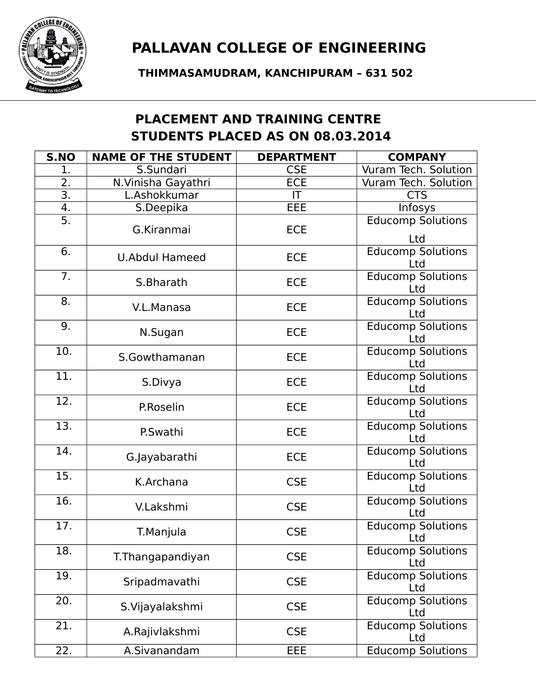

**THIMMASAMUDRAM, KANCHIPURAM – 631 502**

## **PLACEMENT AND TRAINING CENTRE STUDENTS PLACED AS ON 08.03.2014**

| S.NO              | <b>NAME OF THE STUDENT</b> | <b>DEPARTMENT</b> | <b>COMPANY</b>                  |
|-------------------|----------------------------|-------------------|---------------------------------|
| 1.                | S.Sundari                  | <b>CSE</b>        | Vuram Tech. Solution            |
| $\overline{2}$ .  | N. Vinisha Gayathri        | <b>ECE</b>        | Vuram Tech. Solution            |
| $\overline{3}$ .  | L.Ashokkumar               | IT                | <b>CTS</b>                      |
| 4.                | S.Deepika                  | EEE               | Infosys                         |
| $\overline{5}$ .  |                            |                   | <b>Educomp Solutions</b>        |
|                   | G.Kiranmai                 | <b>ECE</b>        | Ltd                             |
| $\overline{6}$ .  | <b>U.Abdul Hameed</b>      | <b>ECE</b>        | <b>Educomp Solutions</b><br>Ltd |
| 7.                | S.Bharath                  | <b>ECE</b>        | <b>Educomp Solutions</b><br>Ltd |
| 8.                | V.L.Manasa                 | ECE               | <b>Educomp Solutions</b><br>Ltd |
| 9.                | N.Sugan                    | <b>ECE</b>        | <b>Educomp Solutions</b><br>Ltd |
| 10.               | S.Gowthamanan              | <b>ECE</b>        | <b>Educomp Solutions</b><br>Ltd |
| $\overline{11}$ . | S.Divya                    | <b>ECE</b>        | <b>Educomp Solutions</b><br>Ltd |
| 12.               | P.Roselin                  | <b>ECE</b>        | <b>Educomp Solutions</b><br>Ltd |
| 13.               | P.Swathi                   | <b>ECE</b>        | <b>Educomp Solutions</b><br>Ltd |
| 14.               | G.Jayabarathi              | <b>ECE</b>        | <b>Educomp Solutions</b><br>Ltd |
| $\overline{15}$ . | K.Archana                  | <b>CSE</b>        | <b>Educomp Solutions</b><br>Ltd |
| 16.               | V.Lakshmi                  | <b>CSE</b>        | <b>Educomp Solutions</b><br>Ltd |
| 17.               | T.Manjula                  | <b>CSE</b>        | <b>Educomp Solutions</b><br>Ltd |
| 18.               | T. Thangapandiyan          | <b>CSE</b>        | <b>Educomp Solutions</b><br>Ltd |
| 19.               | Sripadmavathi              | <b>CSE</b>        | <b>Educomp Solutions</b><br>Ltd |
| 20.               | S.Vijayalakshmi            | <b>CSE</b>        | <b>Educomp Solutions</b><br>Ltd |
| 21.               | A.Rajivlakshmi             | <b>CSE</b>        | <b>Educomp Solutions</b><br>Ltd |
| 22.               | A.Sivanandam               | <b>EEE</b>        | <b>Educomp Solutions</b>        |